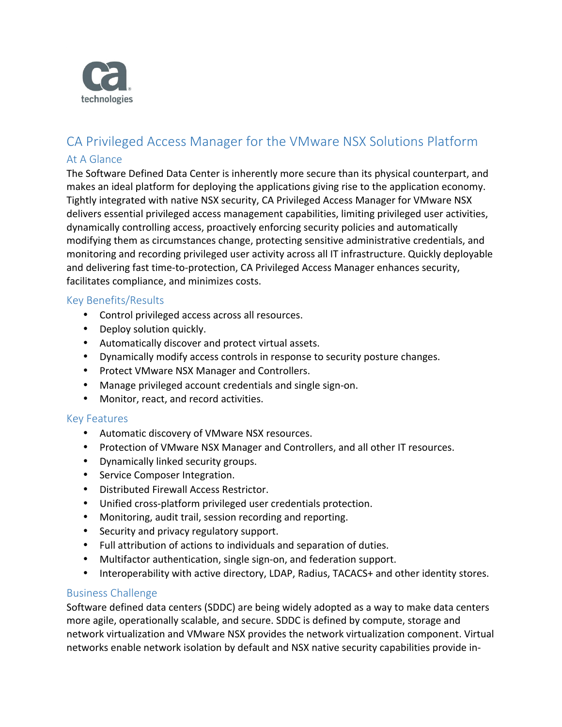

# CA Privileged Access Manager for the VMware NSX Solutions Platform At A Glance

The Software Defined Data Center is inherently more secure than its physical counterpart, and makes an ideal platform for deploying the applications giving rise to the application economy. Tightly integrated with native NSX security, CA Privileged Access Manager for VMware NSX delivers essential privileged access management capabilities, limiting privileged user activities, dynamically controlling access, proactively enforcing security policies and automatically modifying them as circumstances change, protecting sensitive administrative credentials, and monitoring and recording privileged user activity across all IT infrastructure. Quickly deployable and delivering fast time-to-protection, CA Privileged Access Manager enhances security, facilitates compliance, and minimizes costs.

# Key Benefits/Results

- Control privileged access across all resources.
- Deploy solution quickly.
- Automatically discover and protect virtual assets.
- Dynamically modify access controls in response to security posture changes.
- Protect VMware NSX Manager and Controllers.
- Manage privileged account credentials and single sign-on.
- Monitor, react, and record activities.

# Key Features

- Automatic discovery of VMware NSX resources.
- Protection of VMware NSX Manager and Controllers, and all other IT resources.
- Dynamically linked security groups.
- Service Composer Integration.
- Distributed Firewall Access Restrictor.
- Unified cross-platform privileged user credentials protection.
- Monitoring, audit trail, session recording and reporting.
- Security and privacy regulatory support.
- Full attribution of actions to individuals and separation of duties.
- Multifactor authentication, single sign-on, and federation support.
- Interoperability with active directory, LDAP, Radius, TACACS+ and other identity stores.

# Business Challenge

Software defined data centers (SDDC) are being widely adopted as a way to make data centers more agile, operationally scalable, and secure. SDDC is defined by compute, storage and network virtualization and VMware NSX provides the network virtualization component. Virtual networks enable network isolation by default and NSX native security capabilities provide in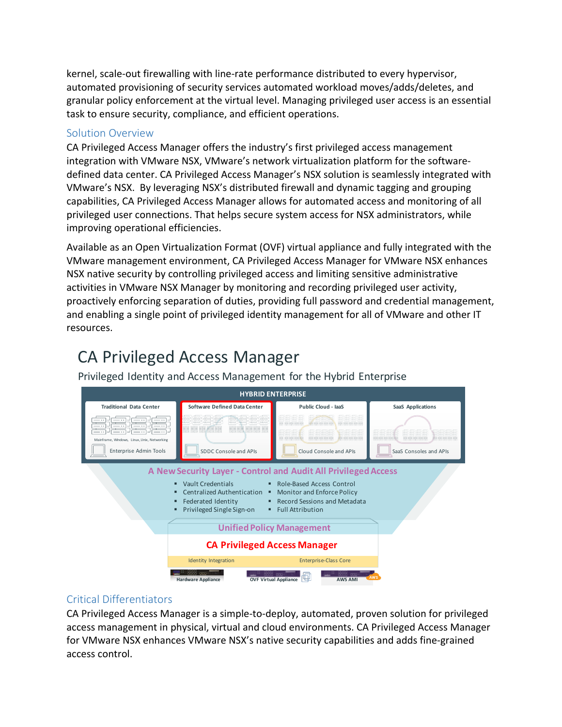kernel, scale-out firewalling with line-rate performance distributed to every hypervisor, automated provisioning of security services automated workload moves/adds/deletes, and granular policy enforcement at the virtual level. Managing privileged user access is an essential task to ensure security, compliance, and efficient operations.

#### Solution Overview

CA Privileged Access Manager offers the industry's first privileged access management integration with VMware NSX, VMware's network virtualization platform for the softwaredefined data center. CA Privileged Access Manager's NSX solution is seamlessly integrated with VMware's NSX. By leveraging NSX's distributed firewall and dynamic tagging and grouping capabilities, CA Privileged Access Manager allows for automated access and monitoring of all privileged user connections. That helps secure system access for NSX administrators, while improving operational efficiencies.

Available as an Open Virtualization Format (OVF) virtual appliance and fully integrated with the VMware management environment, CA Privileged Access Manager for VMware NSX enhances NSX native security by controlling privileged access and limiting sensitive administrative activities in VMware NSX Manager by monitoring and recording privileged user activity, proactively enforcing separation of duties, providing full password and credential management, and enabling a single point of privileged identity management for all of VMware and other IT resources.

# CA Privileged Access Manager

Privileged Identity and Access Management for the Hybrid Enterprise



#### Critical Differentiators

CA Privileged Access Manager is a simple-to-deploy, automated, proven solution for privileged access management in physical, virtual and cloud environments. CA Privileged Access Manager for VMware NSX enhances VMware NSX's native security capabilities and adds fine-grained access control.